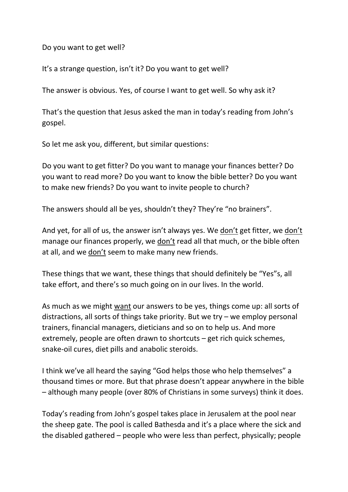Do you want to get well?

It's a strange question, isn't it? Do you want to get well?

The answer is obvious. Yes, of course I want to get well. So why ask it?

That's the question that Jesus asked the man in today's reading from John's gospel.

So let me ask you, different, but similar questions:

Do you want to get fitter? Do you want to manage your finances better? Do you want to read more? Do you want to know the bible better? Do you want to make new friends? Do you want to invite people to church?

The answers should all be yes, shouldn't they? They're "no brainers".

And yet, for all of us, the answer isn't always yes. We don't get fitter, we don't manage our finances properly, we don't read all that much, or the bible often at all, and we don't seem to make many new friends.

These things that we want, these things that should definitely be "Yes"s, all take effort, and there's so much going on in our lives. In the world.

As much as we might want our answers to be yes, things come up: all sorts of distractions, all sorts of things take priority. But we try – we employ personal trainers, financial managers, dieticians and so on to help us. And more extremely, people are often drawn to shortcuts – get rich quick schemes, snake-oil cures, diet pills and anabolic steroids.

I think we've all heard the saying "God helps those who help themselves" a thousand times or more. But that phrase doesn't appear anywhere in the bible – although many people (over 80% of Christians in some surveys) think it does.

Today's reading from John's gospel takes place in Jerusalem at the pool near the sheep gate. The pool is called Bathesda and it's a place where the sick and the disabled gathered – people who were less than perfect, physically; people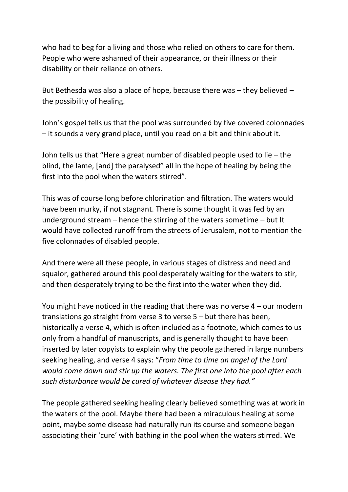who had to beg for a living and those who relied on others to care for them. People who were ashamed of their appearance, or their illness or their disability or their reliance on others.

But Bethesda was also a place of hope, because there was – they believed – the possibility of healing.

John's gospel tells us that the pool was surrounded by five covered colonnades – it sounds a very grand place, until you read on a bit and think about it.

John tells us that "Here a great number of disabled people used to lie – the blind, the lame, [and] the paralysed" all in the hope of healing by being the first into the pool when the waters stirred".

This was of course long before chlorination and filtration. The waters would have been murky, if not stagnant. There is some thought it was fed by an underground stream – hence the stirring of the waters sometime – but It would have collected runoff from the streets of Jerusalem, not to mention the five colonnades of disabled people.

And there were all these people, in various stages of distress and need and squalor, gathered around this pool desperately waiting for the waters to stir, and then desperately trying to be the first into the water when they did.

You might have noticed in the reading that there was no verse 4 – our modern translations go straight from verse 3 to verse 5 – but there has been, historically a verse 4, which is often included as a footnote, which comes to us only from a handful of manuscripts, and is generally thought to have been inserted by later copyists to explain why the people gathered in large numbers seeking healing, and verse 4 says: "*From time to time an angel of the Lord would come down and stir up the waters. The first one into the pool after each such disturbance would be cured of whatever disease they had."*

The people gathered seeking healing clearly believed something was at work in the waters of the pool. Maybe there had been a miraculous healing at some point, maybe some disease had naturally run its course and someone began associating their 'cure' with bathing in the pool when the waters stirred. We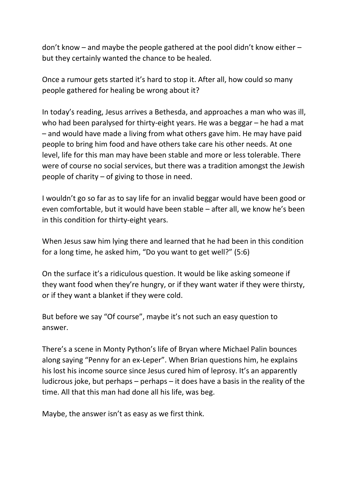don't know – and maybe the people gathered at the pool didn't know either – but they certainly wanted the chance to be healed.

Once a rumour gets started it's hard to stop it. After all, how could so many people gathered for healing be wrong about it?

In today's reading, Jesus arrives a Bethesda, and approaches a man who was ill, who had been paralysed for thirty-eight years. He was a beggar – he had a mat – and would have made a living from what others gave him. He may have paid people to bring him food and have others take care his other needs. At one level, life for this man may have been stable and more or less tolerable. There were of course no social services, but there was a tradition amongst the Jewish people of charity – of giving to those in need.

I wouldn't go so far as to say life for an invalid beggar would have been good or even comfortable, but it would have been stable – after all, we know he's been in this condition for thirty-eight years.

When Jesus saw him lying there and learned that he had been in this condition for a long time, he asked him, "Do you want to get well?" (5:6)

On the surface it's a ridiculous question. It would be like asking someone if they want food when they're hungry, or if they want water if they were thirsty, or if they want a blanket if they were cold.

But before we say "Of course", maybe it's not such an easy question to answer.

There's a scene in Monty Python's life of Bryan where Michael Palin bounces along saying "Penny for an ex-Leper". When Brian questions him, he explains his lost his income source since Jesus cured him of leprosy. It's an apparently ludicrous joke, but perhaps – perhaps – it does have a basis in the reality of the time. All that this man had done all his life, was beg.

Maybe, the answer isn't as easy as we first think.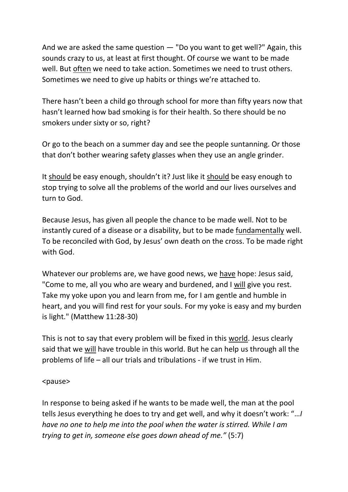And we are asked the same question — "Do you want to get well?" Again, this sounds crazy to us, at least at first thought. Of course we want to be made well. But often we need to take action. Sometimes we need to trust others. Sometimes we need to give up habits or things we're attached to.

There hasn't been a child go through school for more than fifty years now that hasn't learned how bad smoking is for their health. So there should be no smokers under sixty or so, right?

Or go to the beach on a summer day and see the people suntanning. Or those that don't bother wearing safety glasses when they use an angle grinder.

It should be easy enough, shouldn't it? Just like it should be easy enough to stop trying to solve all the problems of the world and our lives ourselves and turn to God.

Because Jesus, has given all people the chance to be made well. Not to be instantly cured of a disease or a disability, but to be made fundamentally well. To be reconciled with God, by Jesus' own death on the cross. To be made right with God.

Whatever our problems are, we have good news, we have hope: Jesus said, "Come to me, all you who are weary and burdened, and I will give you rest. Take my yoke upon you and learn from me, for I am gentle and humble in heart, and you will find rest for your souls. For my yoke is easy and my burden is light." (Matthew 11:28-30)

This is not to say that every problem will be fixed in this world. Jesus clearly said that we will have trouble in this world. But he can help us through all the problems of life – all our trials and tribulations - if we trust in Him.

## <pause>

In response to being asked if he wants to be made well, the man at the pool tells Jesus everything he does to try and get well, and why it doesn't work: "…*I have no one to help me into the pool when the water is stirred. While I am trying to get in, someone else goes down ahead of me."* (5:7)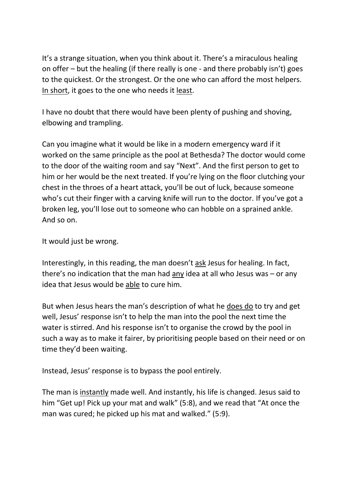It's a strange situation, when you think about it. There's a miraculous healing on offer – but the healing (if there really is one - and there probably isn't) goes to the quickest. Or the strongest. Or the one who can afford the most helpers. In short, it goes to the one who needs it least.

I have no doubt that there would have been plenty of pushing and shoving, elbowing and trampling.

Can you imagine what it would be like in a modern emergency ward if it worked on the same principle as the pool at Bethesda? The doctor would come to the door of the waiting room and say "Next". And the first person to get to him or her would be the next treated. If you're lying on the floor clutching your chest in the throes of a heart attack, you'll be out of luck, because someone who's cut their finger with a carving knife will run to the doctor. If you've got a broken leg, you'll lose out to someone who can hobble on a sprained ankle. And so on.

It would just be wrong.

Interestingly, in this reading, the man doesn't ask Jesus for healing. In fact, there's no indication that the man had any idea at all who Jesus was – or any idea that Jesus would be able to cure him.

But when Jesus hears the man's description of what he does do to try and get well, Jesus' response isn't to help the man into the pool the next time the water is stirred. And his response isn't to organise the crowd by the pool in such a way as to make it fairer, by prioritising people based on their need or on time they'd been waiting.

Instead, Jesus' response is to bypass the pool entirely.

The man is instantly made well. And instantly, his life is changed. Jesus said to him "Get up! Pick up your mat and walk" (5:8), and we read that "At once the man was cured; he picked up his mat and walked." (5:9).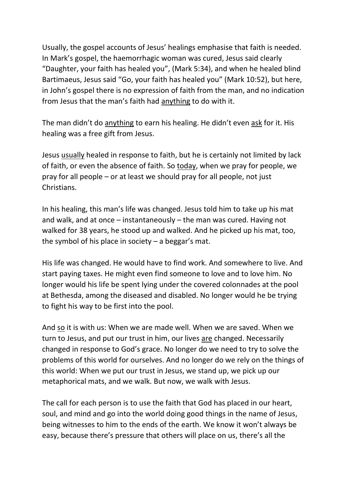Usually, the gospel accounts of Jesus' healings emphasise that faith is needed. In Mark's gospel, the haemorrhagic woman was cured, Jesus said clearly "Daughter, your faith has healed you", (Mark 5:34), and when he healed blind Bartimaeus, Jesus said "Go, your faith has healed you" (Mark 10:52), but here, in John's gospel there is no expression of faith from the man, and no indication from Jesus that the man's faith had anything to do with it.

The man didn't do anything to earn his healing. He didn't even ask for it. His healing was a free gift from Jesus.

Jesus usually healed in response to faith, but he is certainly not limited by lack of faith, or even the absence of faith. So today, when we pray for people, we pray for all people – or at least we should pray for all people, not just Christians.

In his healing, this man's life was changed. Jesus told him to take up his mat and walk, and at once – instantaneously – the man was cured. Having not walked for 38 years, he stood up and walked. And he picked up his mat, too, the symbol of his place in society  $-$  a beggar's mat.

His life was changed. He would have to find work. And somewhere to live. And start paying taxes. He might even find someone to love and to love him. No longer would his life be spent lying under the covered colonnades at the pool at Bethesda, among the diseased and disabled. No longer would he be trying to fight his way to be first into the pool.

And so it is with us: When we are made well. When we are saved. When we turn to Jesus, and put our trust in him, our lives are changed. Necessarily changed in response to God's grace. No longer do we need to try to solve the problems of this world for ourselves. And no longer do we rely on the things of this world: When we put our trust in Jesus, we stand up, we pick up our metaphorical mats, and we walk. But now, we walk with Jesus.

The call for each person is to use the faith that God has placed in our heart, soul, and mind and go into the world doing good things in the name of Jesus, being witnesses to him to the ends of the earth. We know it won't always be easy, because there's pressure that others will place on us, there's all the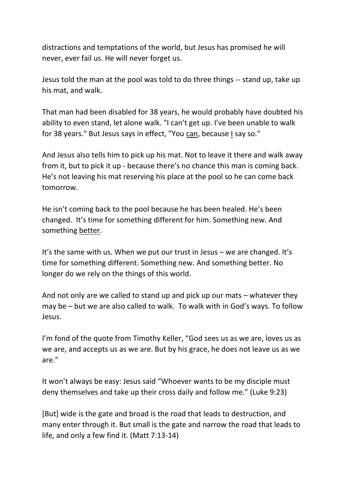distractions and temptations of the world, but Jesus has promised he will never, ever fail us. He will never forget us.

Jesus told the man at the pool was told to do three things -- stand up, take up his mat, and walk.

That man had been disabled for 38 years, he would probably have doubted his ability to even stand, let alone walk. "I can't get up. I've been unable to walk for 38 years." But Jesus says in effect, "You can, because I say so."

And Jesus also tells him to pick up his mat. Not to leave it there and walk away from it, but to pick it up - because there's no chance this man is coming back. He's not leaving his mat reserving his place at the pool so he can come back tomorrow.

He isn't coming back to the pool because he has been healed. He's been changed. It's time for something different for him. Something new. And something better.

It's the same with us. When we put our trust in Jesus – we are changed. It's time for something different. Something new. And something better. No longer do we rely on the things of this world.

And not only are we called to stand up and pick up our mats – whatever they may be – but we are also called to walk. To walk with in God's ways. To follow Jesus.

I'm fond of the quote from Timothy Keller, "God sees us as we are, loves us as we are, and accepts us as we are. But by his grace, he does not leave us as we are."

It won't always be easy: Jesus said "Whoever wants to be my disciple must deny themselves and take up their cross daily and follow me." (Luke 9:23)

[But] wide is the gate and broad is the road that leads to destruction, and many enter through it. But small is the gate and narrow the road that leads to life, and only a few find it. (Matt 7:13-14)